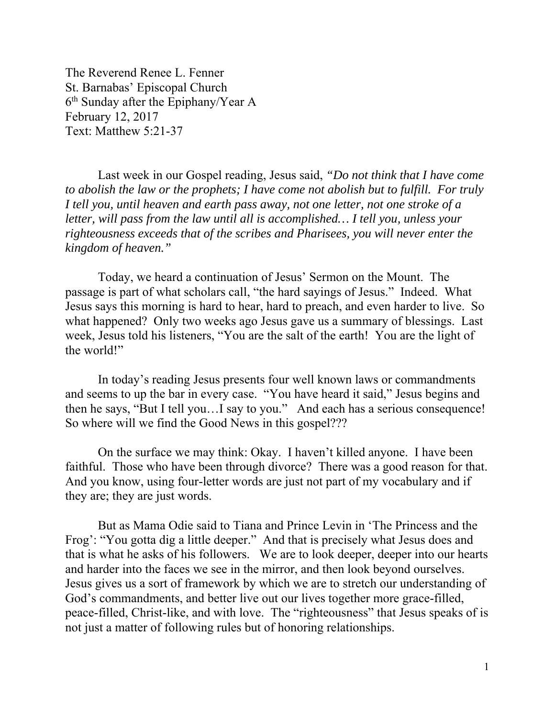The Reverend Renee L. Fenner St. Barnabas' Episcopal Church  $6<sup>th</sup>$  Sunday after the Epiphany/Year A February 12, 2017 Text: Matthew 5:21-37

 Last week in our Gospel reading, Jesus said, *"Do not think that I have come to abolish the law or the prophets; I have come not abolish but to fulfill. For truly I tell you, until heaven and earth pass away, not one letter, not one stroke of a letter, will pass from the law until all is accomplished… I tell you, unless your righteousness exceeds that of the scribes and Pharisees, you will never enter the kingdom of heaven."* 

Today, we heard a continuation of Jesus' Sermon on the Mount. The passage is part of what scholars call, "the hard sayings of Jesus." Indeed. What Jesus says this morning is hard to hear, hard to preach, and even harder to live. So what happened? Only two weeks ago Jesus gave us a summary of blessings. Last week, Jesus told his listeners, "You are the salt of the earth! You are the light of the world!"

In today's reading Jesus presents four well known laws or commandments and seems to up the bar in every case. "You have heard it said," Jesus begins and then he says, "But I tell you…I say to you." And each has a serious consequence! So where will we find the Good News in this gospel???

On the surface we may think: Okay. I haven't killed anyone. I have been faithful. Those who have been through divorce? There was a good reason for that. And you know, using four-letter words are just not part of my vocabulary and if they are; they are just words.

But as Mama Odie said to Tiana and Prince Levin in 'The Princess and the Frog': "You gotta dig a little deeper." And that is precisely what Jesus does and that is what he asks of his followers. We are to look deeper, deeper into our hearts and harder into the faces we see in the mirror, and then look beyond ourselves. Jesus gives us a sort of framework by which we are to stretch our understanding of God's commandments, and better live out our lives together more grace-filled, peace-filled, Christ-like, and with love. The "righteousness" that Jesus speaks of is not just a matter of following rules but of honoring relationships.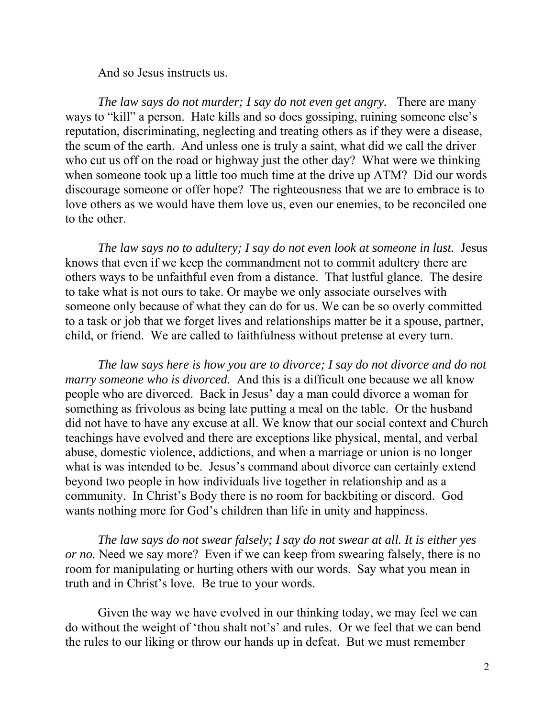And so Jesus instructs us.

*The law says do not murder; I say do not even get angry.* There are many ways to "kill" a person. Hate kills and so does gossiping, ruining someone else's reputation, discriminating, neglecting and treating others as if they were a disease, the scum of the earth. And unless one is truly a saint, what did we call the driver who cut us off on the road or highway just the other day? What were we thinking when someone took up a little too much time at the drive up ATM? Did our words discourage someone or offer hope? The righteousness that we are to embrace is to love others as we would have them love us, even our enemies, to be reconciled one to the other.

*The law says no to adultery; I say do not even look at someone in lust.* Jesus knows that even if we keep the commandment not to commit adultery there are others ways to be unfaithful even from a distance. That lustful glance. The desire to take what is not ours to take. Or maybe we only associate ourselves with someone only because of what they can do for us. We can be so overly committed to a task or job that we forget lives and relationships matter be it a spouse, partner, child, or friend. We are called to faithfulness without pretense at every turn.

*The law says here is how you are to divorce; I say do not divorce and do not marry someone who is divorced.* And this is a difficult one because we all know people who are divorced. Back in Jesus' day a man could divorce a woman for something as frivolous as being late putting a meal on the table. Or the husband did not have to have any excuse at all. We know that our social context and Church teachings have evolved and there are exceptions like physical, mental, and verbal abuse, domestic violence, addictions, and when a marriage or union is no longer what is was intended to be. Jesus's command about divorce can certainly extend beyond two people in how individuals live together in relationship and as a community. In Christ's Body there is no room for backbiting or discord. God wants nothing more for God's children than life in unity and happiness.

*The law says do not swear falsely; I say do not swear at all. It is either yes or no.* Need we say more? Even if we can keep from swearing falsely, there is no room for manipulating or hurting others with our words. Say what you mean in truth and in Christ's love. Be true to your words.

Given the way we have evolved in our thinking today, we may feel we can do without the weight of 'thou shalt not's' and rules. Or we feel that we can bend the rules to our liking or throw our hands up in defeat. But we must remember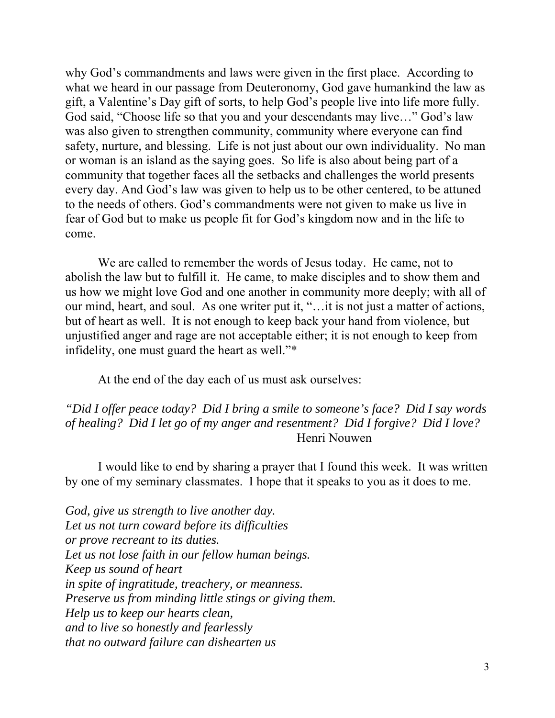why God's commandments and laws were given in the first place. According to what we heard in our passage from Deuteronomy, God gave humankind the law as gift, a Valentine's Day gift of sorts, to help God's people live into life more fully. God said, "Choose life so that you and your descendants may live…" God's law was also given to strengthen community, community where everyone can find safety, nurture, and blessing. Life is not just about our own individuality. No man or woman is an island as the saying goes. So life is also about being part of a community that together faces all the setbacks and challenges the world presents every day. And God's law was given to help us to be other centered, to be attuned to the needs of others. God's commandments were not given to make us live in fear of God but to make us people fit for God's kingdom now and in the life to come.

We are called to remember the words of Jesus today. He came, not to abolish the law but to fulfill it. He came, to make disciples and to show them and us how we might love God and one another in community more deeply; with all of our mind, heart, and soul. As one writer put it, "…it is not just a matter of actions, but of heart as well. It is not enough to keep back your hand from violence, but unjustified anger and rage are not acceptable either; it is not enough to keep from infidelity, one must guard the heart as well."\*

At the end of the day each of us must ask ourselves:

*"Did I offer peace today? Did I bring a smile to someone's face? Did I say words of healing? Did I let go of my anger and resentment? Did I forgive? Did I love?* Henri Nouwen

 I would like to end by sharing a prayer that I found this week. It was written by one of my seminary classmates. I hope that it speaks to you as it does to me.

*God, give us strength to live another day. Let us not turn coward before its difficulties or prove recreant to its duties. Let us not lose faith in our fellow human beings. Keep us sound of heart in spite of ingratitude, treachery, or meanness. Preserve us from minding little stings or giving them. Help us to keep our hearts clean, and to live so honestly and fearlessly that no outward failure can dishearten us*